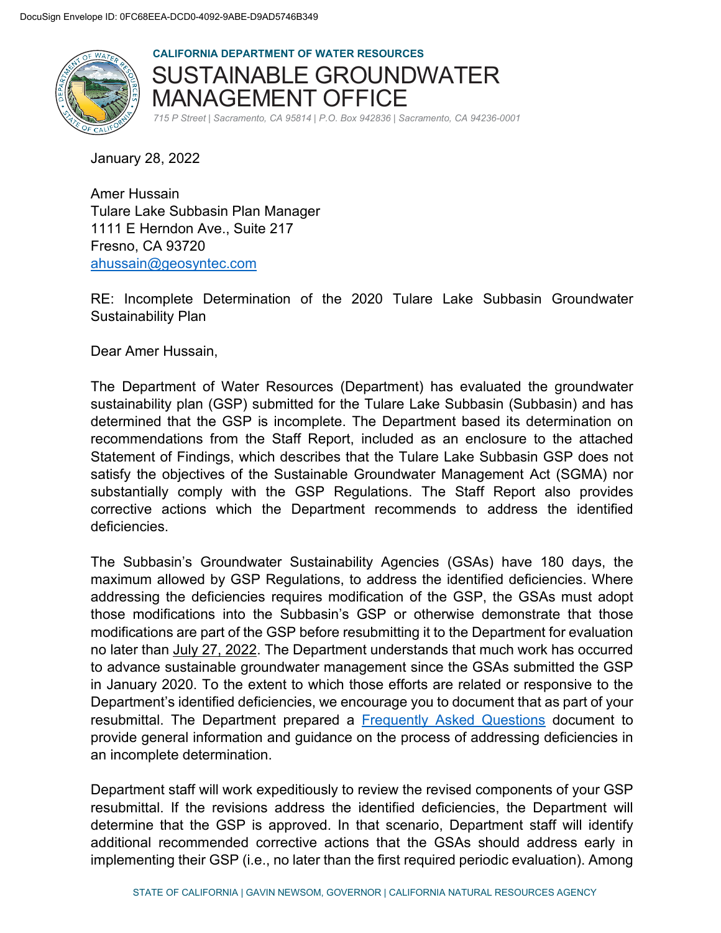

**CALIFORNIA DEPARTMENT OF WATER RESOURCES**  SUSTAINABLE GROUNDWATER MANAGEMENT OFFICE *715 P Street | Sacramento, CA 95814 | P.O. Box 942836 | Sacramento, CA 94236-0001*

January 28, 2022

Amer Hussain Tulare Lake Subbasin Plan Manager 1111 E Herndon Ave., Suite 217 Fresno, CA 93720 [ahussain@geosyntec.com](mailto:ahussain@geosyntec.com)

RE: Incomplete Determination of the 2020 Tulare Lake Subbasin Groundwater Sustainability Plan

Dear Amer Hussain,

The Department of Water Resources (Department) has evaluated the groundwater sustainability plan (GSP) submitted for the Tulare Lake Subbasin (Subbasin) and has determined that the GSP is incomplete. The Department based its determination on recommendations from the Staff Report, included as an enclosure to the attached Statement of Findings, which describes that the Tulare Lake Subbasin GSP does not satisfy the objectives of the Sustainable Groundwater Management Act (SGMA) nor substantially comply with the GSP Regulations. The Staff Report also provides corrective actions which the Department recommends to address the identified deficiencies.

The Subbasin's Groundwater Sustainability Agencies (GSAs) have 180 days, the maximum allowed by GSP Regulations, to address the identified deficiencies. Where addressing the deficiencies requires modification of the GSP, the GSAs must adopt those modifications into the Subbasin's GSP or otherwise demonstrate that those modifications are part of the GSP before resubmitting it to the Department for evaluation no later than July 27, 2022. The Department understands that much work has occurred to advance sustainable groundwater management since the GSAs submitted the GSP in January 2020. To the extent to which those efforts are related or responsive to the Department's identified deficiencies, we encourage you to document that as part of your resubmittal. The Department prepared a [Frequently Asked Questions](https://water.ca.gov/-/media/DWR-Website/Web-Pages/Programs/Groundwater-Management/Sustainable-Groundwater-Management/Groundwater-Sustainability-Plans/Files/GSP/GSP-Incomplete-Assessment-FAQ.pdf) document to provide general information and guidance on the process of addressing deficiencies in an incomplete determination.

Department staff will work expeditiously to review the revised components of your GSP resubmittal. If the revisions address the identified deficiencies, the Department will determine that the GSP is approved. In that scenario, Department staff will identify additional recommended corrective actions that the GSAs should address early in implementing their GSP (i.e., no later than the first required periodic evaluation). Among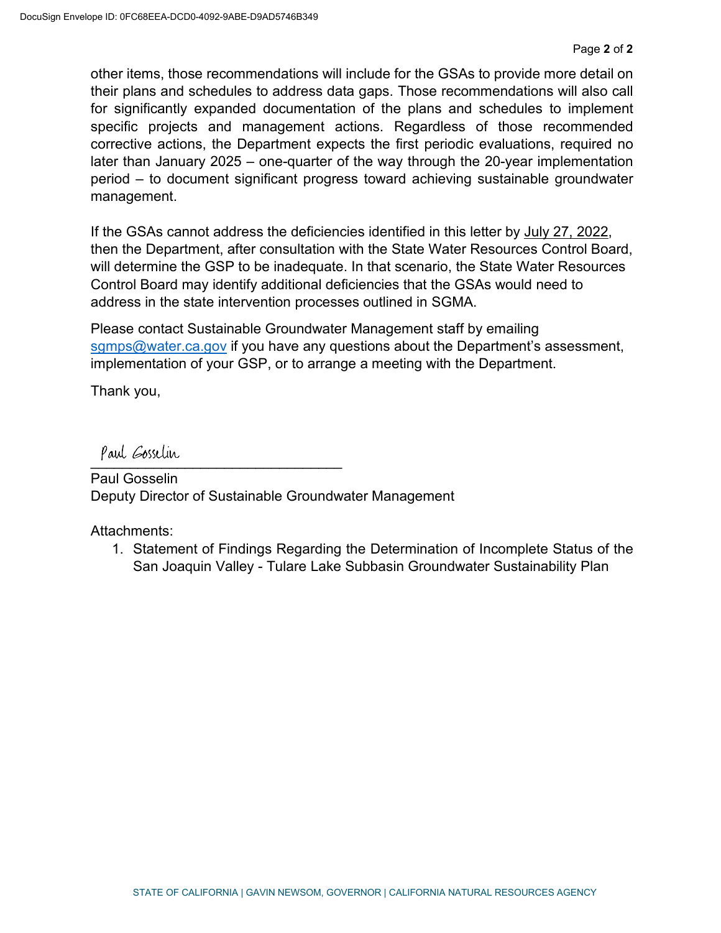other items, those recommendations will include for the GSAs to provide more detail on their plans and schedules to address data gaps. Those recommendations will also call for significantly expanded documentation of the plans and schedules to implement specific projects and management actions. Regardless of those recommended corrective actions, the Department expects the first periodic evaluations, required no later than January 2025 – one-quarter of the way through the 20-year implementation period – to document significant progress toward achieving sustainable groundwater management.

If the GSAs cannot address the deficiencies identified in this letter by July 27, 2022, then the Department, after consultation with the State Water Resources Control Board, will determine the GSP to be inadequate. In that scenario, the State Water Resources Control Board may identify additional deficiencies that the GSAs would need to address in the state intervention processes outlined in SGMA.

Please contact Sustainable Groundwater Management staff by emailing [sgmps@water.ca.gov](mailto:sgmps@water.ca.gov) if you have any questions about the Department's assessment, implementation of your GSP, or to arrange a meeting with the Department.

Thank you,

 $\overline{\phantom{a}}$ 

Paul Gosselin Deputy Director of Sustainable Groundwater Management

Attachments:

1. Statement of Findings Regarding the Determination of Incomplete Status of the San Joaquin Valley - Tulare Lake Subbasin Groundwater Sustainability Plan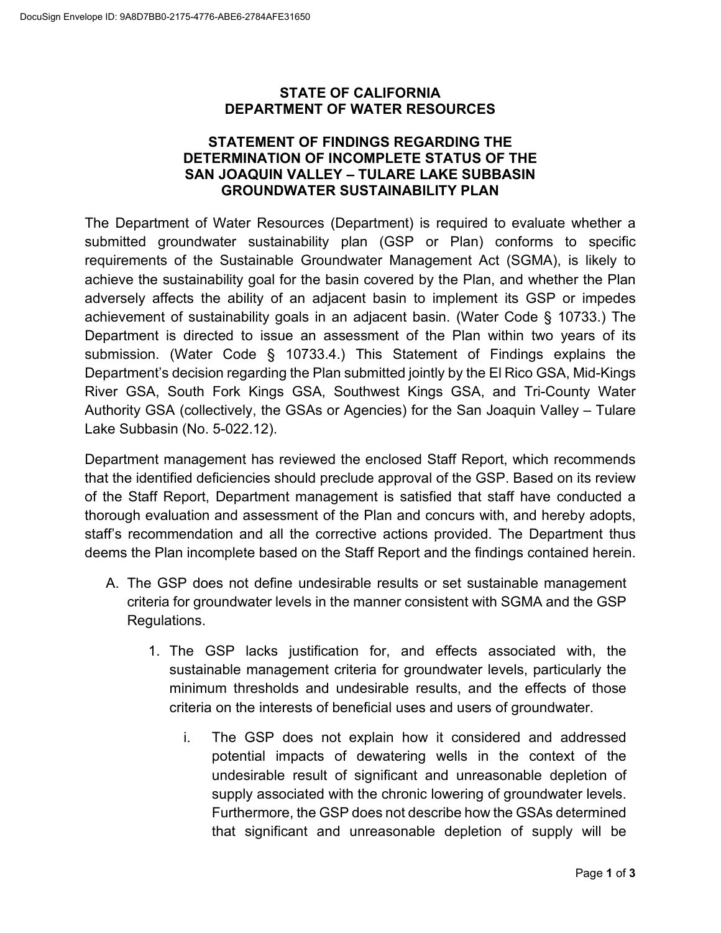#### **STATE OF CALIFORNIA DEPARTMENT OF WATER RESOURCES**

#### **STATEMENT OF FINDINGS REGARDING THE DETERMINATION OF INCOMPLETE STATUS OF THE SAN JOAQUIN VALLEY – TULARE LAKE SUBBASIN GROUNDWATER SUSTAINABILITY PLAN**

The Department of Water Resources (Department) is required to evaluate whether a submitted groundwater sustainability plan (GSP or Plan) conforms to specific requirements of the Sustainable Groundwater Management Act (SGMA), is likely to achieve the sustainability goal for the basin covered by the Plan, and whether the Plan adversely affects the ability of an adjacent basin to implement its GSP or impedes achievement of sustainability goals in an adjacent basin. (Water Code § 10733.) The Department is directed to issue an assessment of the Plan within two years of its submission. (Water Code § 10733.4.) This Statement of Findings explains the Department's decision regarding the Plan submitted jointly by the El Rico GSA, Mid-Kings River GSA, South Fork Kings GSA, Southwest Kings GSA, and Tri-County Water Authority GSA (collectively, the GSAs or Agencies) for the San Joaquin Valley – Tulare Lake Subbasin (No. 5-022.12).

Department management has reviewed the enclosed Staff Report, which recommends that the identified deficiencies should preclude approval of the GSP. Based on its review of the Staff Report, Department management is satisfied that staff have conducted a thorough evaluation and assessment of the Plan and concurs with, and hereby adopts, staff's recommendation and all the corrective actions provided. The Department thus deems the Plan incomplete based on the Staff Report and the findings contained herein.

- A. The GSP does not define undesirable results or set sustainable management criteria for groundwater levels in the manner consistent with SGMA and the GSP Regulations.
	- 1. The GSP lacks justification for, and effects associated with, the sustainable management criteria for groundwater levels, particularly the minimum thresholds and undesirable results, and the effects of those criteria on the interests of beneficial uses and users of groundwater.
		- i. The GSP does not explain how it considered and addressed potential impacts of dewatering wells in the context of the undesirable result of significant and unreasonable depletion of supply associated with the chronic lowering of groundwater levels. Furthermore, the GSP does not describe how the GSAs determined that significant and unreasonable depletion of supply will be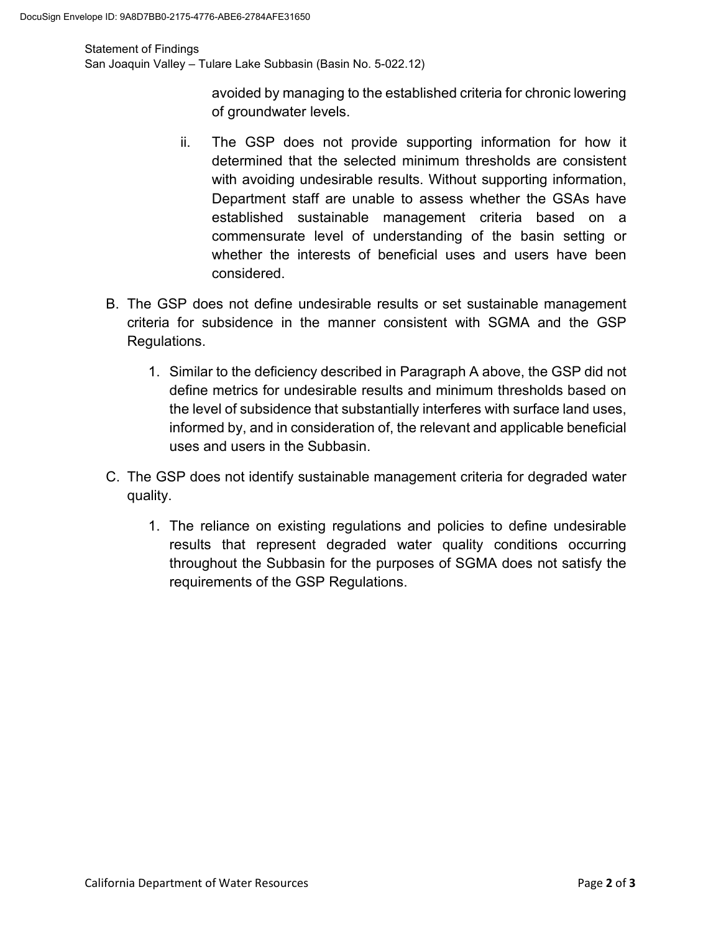#### Statement of Findings

San Joaquin Valley – Tulare Lake Subbasin (Basin No. 5-022.12)

avoided by managing to the established criteria for chronic lowering of groundwater levels.

- ii. The GSP does not provide supporting information for how it determined that the selected minimum thresholds are consistent with avoiding undesirable results. Without supporting information, Department staff are unable to assess whether the GSAs have established sustainable management criteria based on a commensurate level of understanding of the basin setting or whether the interests of beneficial uses and users have been considered.
- B. The GSP does not define undesirable results or set sustainable management criteria for subsidence in the manner consistent with SGMA and the GSP Regulations.
	- 1. Similar to the deficiency described in Paragraph A above, the GSP did not define metrics for undesirable results and minimum thresholds based on the level of subsidence that substantially interferes with surface land uses, informed by, and in consideration of, the relevant and applicable beneficial uses and users in the Subbasin.
- C. The GSP does not identify sustainable management criteria for degraded water quality.
	- 1. The reliance on existing regulations and policies to define undesirable results that represent degraded water quality conditions occurring throughout the Subbasin for the purposes of SGMA does not satisfy the requirements of the GSP Regulations.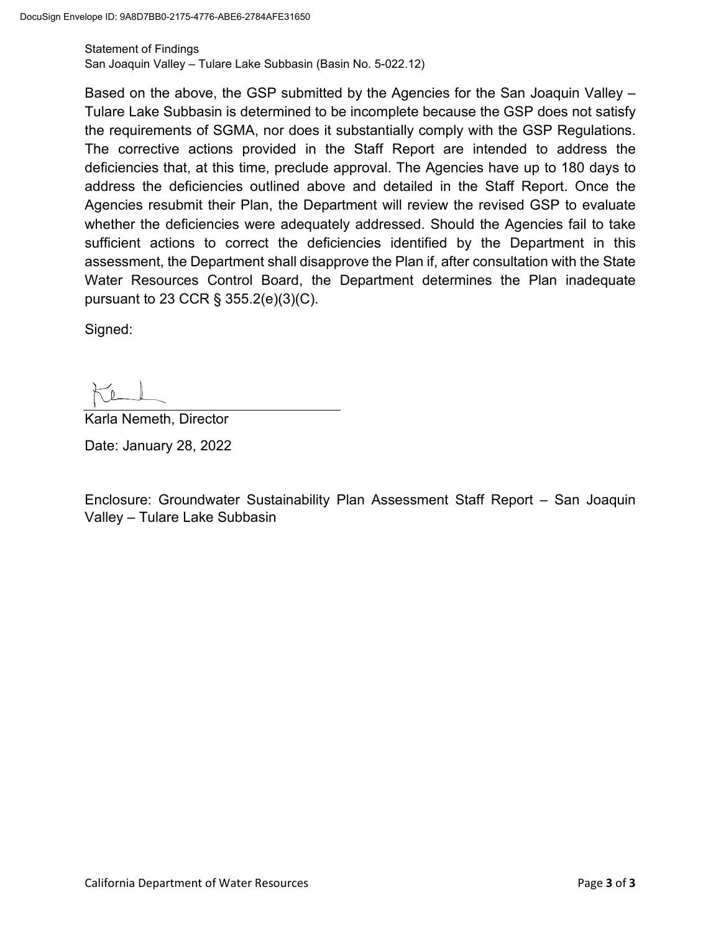Statement of Findings San Joaquin Valley – Tulare Lake Subbasin (Basin No. 5-022.12)

Based on the above, the GSP submitted by the Agencies for the San Joaquin Valley – Tulare Lake Subbasin is determined to be incomplete because the GSP does not satisfy the requirements of SGMA, nor does it substantially comply with the GSP Regulations. The corrective actions provided in the Staff Report are intended to address the deficiencies that, at this time, preclude approval. The Agencies have up to 180 days to address the deficiencies outlined above and detailed in the Staff Report. Once the Agencies resubmit their Plan, the Department will review the revised GSP to evaluate whether the deficiencies were adequately addressed. Should the Agencies fail to take sufficient actions to correct the deficiencies identified by the Department in this assessment, the Department shall disapprove the Plan if, after consultation with the State Water Resources Control Board, the Department determines the Plan inadequate pursuant to 23 CCR § 355.2(e)(3)(C).

Signed:

Karla Nemeth, Director Date: January 28, 2022

Enclosure: Groundwater Sustainability Plan Assessment Staff Report – San Joaquin Valley – Tulare Lake Subbasin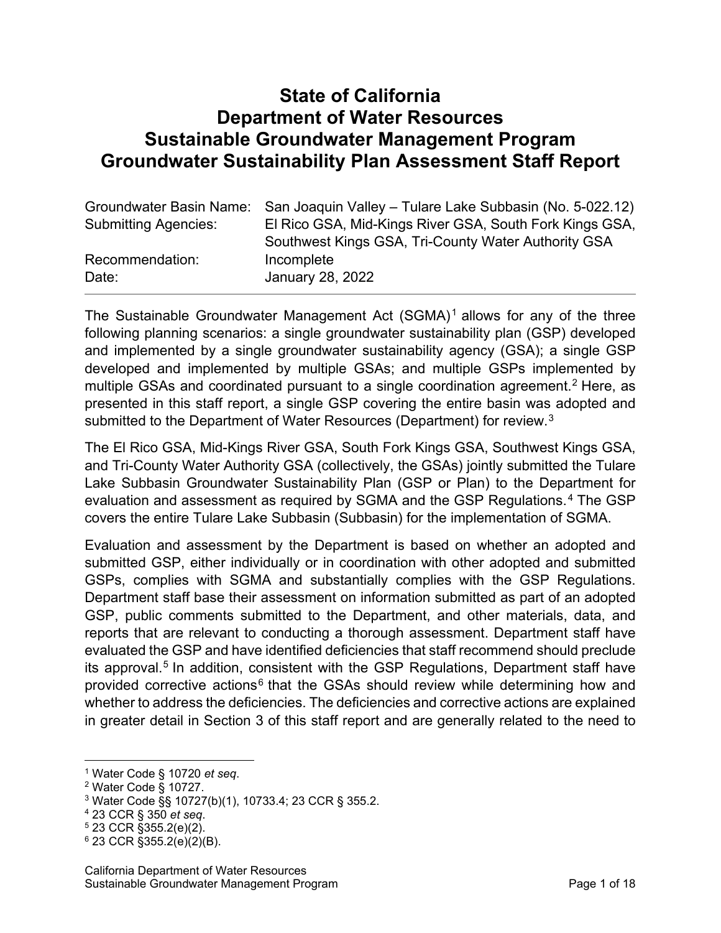# **State of California Department of Water Resources Sustainable Groundwater Management Program Groundwater Sustainability Plan Assessment Staff Report**

|                             | Groundwater Basin Name: San Joaquin Valley – Tulare Lake Subbasin (No. 5-022.12) |
|-----------------------------|----------------------------------------------------------------------------------|
| <b>Submitting Agencies:</b> | El Rico GSA, Mid-Kings River GSA, South Fork Kings GSA,                          |
|                             | Southwest Kings GSA, Tri-County Water Authority GSA                              |
| Recommendation:             | Incomplete                                                                       |
| Date:                       | January 28, 2022                                                                 |

The Sustainable Groundwater Management Act  $(SGMA)^1$  $(SGMA)^1$  allows for any of the three following planning scenarios: a single groundwater sustainability plan (GSP) developed and implemented by a single groundwater sustainability agency (GSA); a single GSP developed and implemented by multiple GSAs; and multiple GSPs implemented by multiple GSAs and coordinated pursuant to a single coordination agreement.<sup>[2](#page-5-1)</sup> Here, as presented in this staff report, a single GSP covering the entire basin was adopted and submitted to the Department of Water Resources (Department) for review.<sup>[3](#page-5-2)</sup>

The El Rico GSA, Mid-Kings River GSA, South Fork Kings GSA, Southwest Kings GSA, and Tri-County Water Authority GSA (collectively, the GSAs) jointly submitted the Tulare Lake Subbasin Groundwater Sustainability Plan (GSP or Plan) to the Department for evaluation and assessment as required by SGMA and the GSP Regulations.<sup>[4](#page-5-3)</sup> The GSP covers the entire Tulare Lake Subbasin (Subbasin) for the implementation of SGMA.

Evaluation and assessment by the Department is based on whether an adopted and submitted GSP, either individually or in coordination with other adopted and submitted GSPs, complies with SGMA and substantially complies with the GSP Regulations. Department staff base their assessment on information submitted as part of an adopted GSP, public comments submitted to the Department, and other materials, data, and reports that are relevant to conducting a thorough assessment. Department staff have evaluated the GSP and have identified deficiencies that staff recommend should preclude its approval.<sup>[5](#page-5-4)</sup> In addition, consistent with the GSP Regulations, Department staff have provided corrective actions<sup>[6](#page-5-5)</sup> that the GSAs should review while determining how and whether to address the deficiencies. The deficiencies and corrective actions are explained in greater detail in Section 3 of this staff report and are generally related to the need to

<span id="page-5-0"></span><sup>1</sup> Water Code § 10720 *et seq*. 2 Water Code § 10727.

<span id="page-5-1"></span>

<span id="page-5-2"></span><sup>3</sup> Water Code §§ 10727(b)(1), 10733.4; 23 CCR § 355.2.

<span id="page-5-3"></span><sup>4</sup> 23 CCR § 350 *et seq*. 5 23 CCR §355.2(e)(2).

<span id="page-5-5"></span><span id="page-5-4"></span> $6$  23 CCR §355.2(e)(2)(B).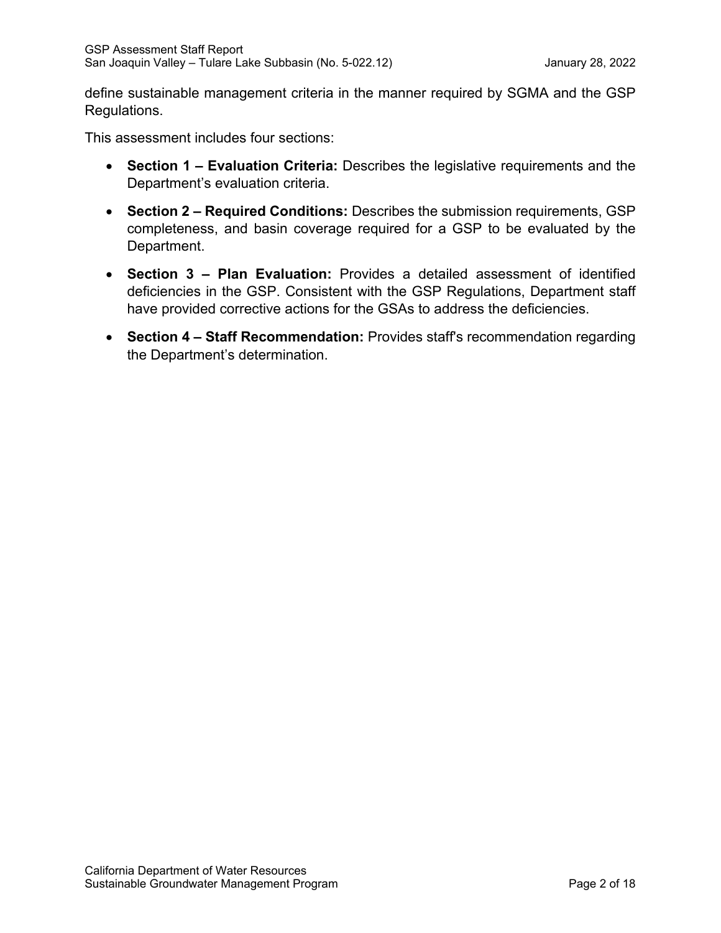define sustainable management criteria in the manner required by SGMA and the GSP Regulations.

This assessment includes four sections:

- **Section 1 Evaluation Criteria:** Describes the legislative requirements and the Department's evaluation criteria.
- **Section 2 Required Conditions:** Describes the submission requirements, GSP completeness, and basin coverage required for a GSP to be evaluated by the Department.
- **Section 3 Plan Evaluation:** Provides a detailed assessment of identified deficiencies in the GSP. Consistent with the GSP Regulations, Department staff have provided corrective actions for the GSAs to address the deficiencies.
- **Section 4 Staff Recommendation:** Provides staff's recommendation regarding the Department's determination.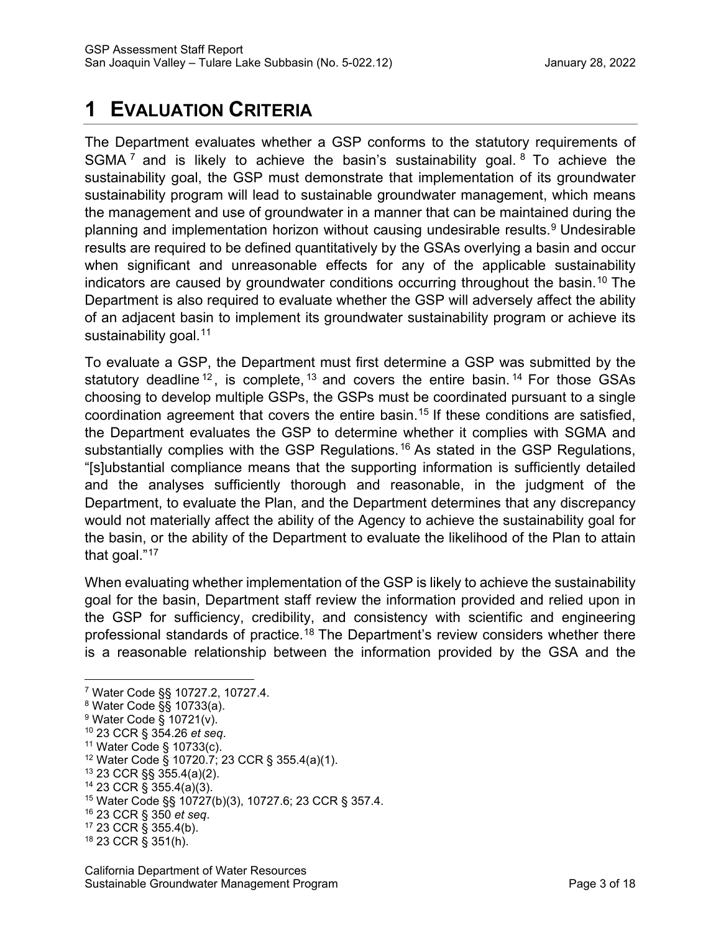# **1 EVALUATION CRITERIA**

The Department evaluates whether a GSP conforms to the statutory requirements of SGMA<sup>[7](#page-7-0)</sup> and is likely to achieve the basin's sustainability goal. <sup>[8](#page-7-1)</sup> To achieve the sustainability goal, the GSP must demonstrate that implementation of its groundwater sustainability program will lead to sustainable groundwater management, which means the management and use of groundwater in a manner that can be maintained during the planning and implementation horizon without causing undesirable results.<sup>[9](#page-7-2)</sup> Undesirable results are required to be defined quantitatively by the GSAs overlying a basin and occur when significant and unreasonable effects for any of the applicable sustainability indicators are caused by groundwater conditions occurring throughout the basin. [10](#page-7-3) The Department is also required to evaluate whether the GSP will adversely affect the ability of an adjacent basin to implement its groundwater sustainability program or achieve its sustainability goal. [11](#page-7-4)

To evaluate a GSP, the Department must first determine a GSP was submitted by the statutory deadline  $12$ , is complete,  $13$  and covers the entire basin.  $14$  For those GSAs choosing to develop multiple GSPs, the GSPs must be coordinated pursuant to a single coordination agreement that covers the entire basin.<sup>[15](#page-7-8)</sup> If these conditions are satisfied, the Department evaluates the GSP to determine whether it complies with SGMA and substantially complies with the GSP Regulations.<sup>[16](#page-7-9)</sup> As stated in the GSP Regulations, "[s]ubstantial compliance means that the supporting information is sufficiently detailed and the analyses sufficiently thorough and reasonable, in the judgment of the Department, to evaluate the Plan, and the Department determines that any discrepancy would not materially affect the ability of the Agency to achieve the sustainability goal for the basin, or the ability of the Department to evaluate the likelihood of the Plan to attain that goal."[17](#page-7-10)

When evaluating whether implementation of the GSP is likely to achieve the sustainability goal for the basin, Department staff review the information provided and relied upon in the GSP for sufficiency, credibility, and consistency with scientific and engineering professional standards of practice.<sup>[18](#page-7-11)</sup> The Department's review considers whether there is a reasonable relationship between the information provided by the GSA and the

- <span id="page-7-6"></span><sup>13</sup> 23 CCR §§ 355.4(a)(2).
- <span id="page-7-7"></span><sup>14</sup> 23 CCR § 355.4(a)(3).

- <span id="page-7-9"></span><sup>16</sup> 23 CCR § 350 *et seq*. 17 23 CCR § 355.4(b).
- 

<span id="page-7-0"></span><sup>7</sup> Water Code §§ 10727.2, 10727.4.

<span id="page-7-1"></span><sup>8</sup> Water Code §§ 10733(a).

<span id="page-7-2"></span><sup>9</sup> Water Code § 10721(v).

<span id="page-7-3"></span><sup>10</sup> 23 CCR § 354.26 *et seq*. 11 Water Code § 10733(c).

<span id="page-7-5"></span><span id="page-7-4"></span><sup>12</sup> Water Code § 10720.7; 23 CCR § 355.4(a)(1).

<span id="page-7-8"></span><sup>15</sup> Water Code §§ 10727(b)(3), 10727.6; 23 CCR § 357.4.

<span id="page-7-11"></span><span id="page-7-10"></span><sup>18</sup> 23 CCR § 351(h).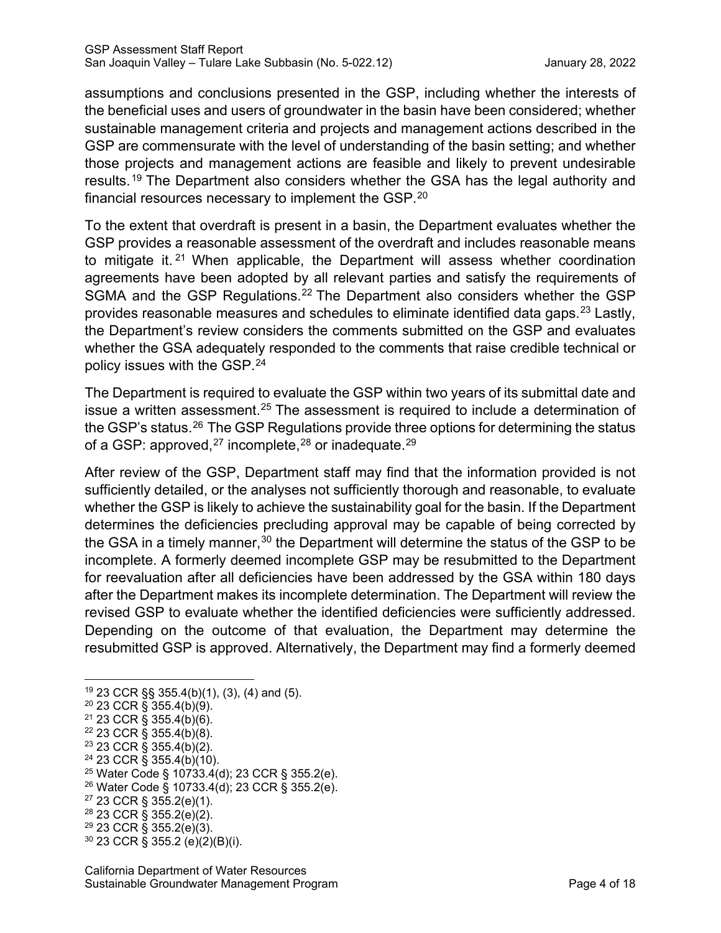assumptions and conclusions presented in the GSP, including whether the interests of the beneficial uses and users of groundwater in the basin have been considered; whether sustainable management criteria and projects and management actions described in the GSP are commensurate with the level of understanding of the basin setting; and whether those projects and management actions are feasible and likely to prevent undesirable results.[19](#page-8-0) The Department also considers whether the GSA has the legal authority and financial resources necessary to implement the GSP. $^{\mathsf{20}}$  $^{\mathsf{20}}$  $^{\mathsf{20}}$ 

To the extent that overdraft is present in a basin, the Department evaluates whether the GSP provides a reasonable assessment of the overdraft and includes reasonable means to mitigate it.<sup>[21](#page-8-2)</sup> When applicable, the Department will assess whether coordination agreements have been adopted by all relevant parties and satisfy the requirements of SGMA and the GSP Regulations.<sup>[22](#page-8-3)</sup> The Department also considers whether the GSP provides reasonable measures and schedules to eliminate identified data gaps.<sup>[23](#page-8-4)</sup> Lastly, the Department's review considers the comments submitted on the GSP and evaluates whether the GSA adequately responded to the comments that raise credible technical or policy issues with the GSP. [24](#page-8-5)

The Department is required to evaluate the GSP within two years of its submittal date and issue a written assessment.<sup>[25](#page-8-6)</sup> The assessment is required to include a determination of the GSP's status.<sup>[26](#page-8-7)</sup> The GSP Regulations provide three options for determining the status of a GSP: approved, $^{27}$  $^{27}$  $^{27}$  incomplete, $^{28}$  $^{28}$  $^{28}$  or inadequate. $^{29}$  $^{29}$  $^{29}$ 

After review of the GSP, Department staff may find that the information provided is not sufficiently detailed, or the analyses not sufficiently thorough and reasonable, to evaluate whether the GSP is likely to achieve the sustainability goal for the basin. If the Department determines the deficiencies precluding approval may be capable of being corrected by the GSA in a timely manner,  $30$  the Department will determine the status of the GSP to be incomplete. A formerly deemed incomplete GSP may be resubmitted to the Department for reevaluation after all deficiencies have been addressed by the GSA within 180 days after the Department makes its incomplete determination. The Department will review the revised GSP to evaluate whether the identified deficiencies were sufficiently addressed. Depending on the outcome of that evaluation, the Department may determine the resubmitted GSP is approved. Alternatively, the Department may find a formerly deemed

- <span id="page-8-5"></span><span id="page-8-4"></span> $24$  23 CCR § 355.4(b)(10).
- <span id="page-8-6"></span><sup>25</sup> Water Code § 10733.4(d); 23 CCR § 355.2(e).
- <span id="page-8-7"></span><sup>26</sup> Water Code § 10733.4(d); 23 CCR § 355.2(e).
- <span id="page-8-8"></span><sup>27</sup> 23 CCR § 355.2(e)(1).
- <span id="page-8-9"></span><sup>28</sup> 23 CCR § 355.2(e)(2).

<span id="page-8-0"></span><sup>19</sup> 23 CCR §§ 355.4(b)(1), (3), (4) and (5).

<span id="page-8-1"></span><sup>20</sup> 23 CCR § 355.4(b)(9).

<span id="page-8-2"></span> $21$  23 CCR § 355.4(b)(6).

<span id="page-8-3"></span><sup>22</sup> 23 CCR § 355.4(b)(8).

<sup>&</sup>lt;sup>23</sup> 23 CCR § 355.4(b)(2).

<span id="page-8-11"></span><span id="page-8-10"></span><sup>29</sup> 23 CCR § 355.2(e)(3). <sup>30</sup> 23 CCR § 355.2 (e)(2)(B)(i).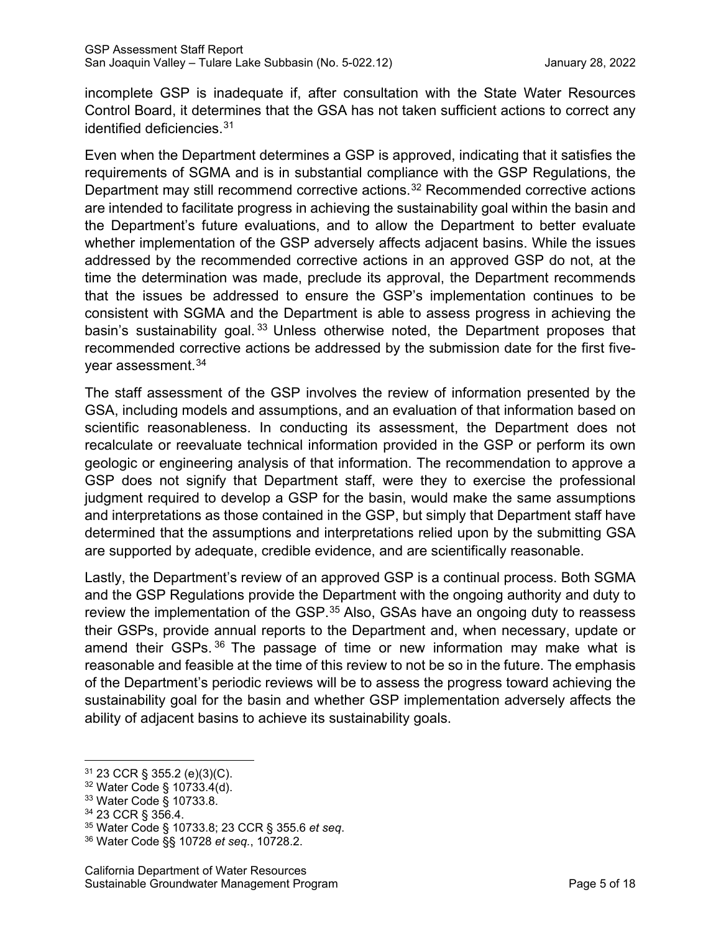incomplete GSP is inadequate if, after consultation with the State Water Resources Control Board, it determines that the GSA has not taken sufficient actions to correct any identified deficiencies.[31](#page-9-0) 

Even when the Department determines a GSP is approved, indicating that it satisfies the requirements of SGMA and is in substantial compliance with the GSP Regulations, the Department may still recommend corrective actions. [32](#page-9-1) Recommended corrective actions are intended to facilitate progress in achieving the sustainability goal within the basin and the Department's future evaluations, and to allow the Department to better evaluate whether implementation of the GSP adversely affects adjacent basins. While the issues addressed by the recommended corrective actions in an approved GSP do not, at the time the determination was made, preclude its approval, the Department recommends that the issues be addressed to ensure the GSP's implementation continues to be consistent with SGMA and the Department is able to assess progress in achieving the basin's sustainability goal.<sup>[33](#page-9-2)</sup> Unless otherwise noted, the Department proposes that recommended corrective actions be addressed by the submission date for the first five-year assessment.<sup>[34](#page-9-3)</sup>

The staff assessment of the GSP involves the review of information presented by the GSA, including models and assumptions, and an evaluation of that information based on scientific reasonableness. In conducting its assessment, the Department does not recalculate or reevaluate technical information provided in the GSP or perform its own geologic or engineering analysis of that information. The recommendation to approve a GSP does not signify that Department staff, were they to exercise the professional judgment required to develop a GSP for the basin, would make the same assumptions and interpretations as those contained in the GSP, but simply that Department staff have determined that the assumptions and interpretations relied upon by the submitting GSA are supported by adequate, credible evidence, and are scientifically reasonable.

Lastly, the Department's review of an approved GSP is a continual process. Both SGMA and the GSP Regulations provide the Department with the ongoing authority and duty to review the implementation of the GSP.<sup>[35](#page-9-4)</sup> Also, GSAs have an ongoing duty to reassess their GSPs, provide annual reports to the Department and, when necessary, update or amend their GSPs. [36](#page-9-5) The passage of time or new information may make what is reasonable and feasible at the time of this review to not be so in the future. The emphasis of the Department's periodic reviews will be to assess the progress toward achieving the sustainability goal for the basin and whether GSP implementation adversely affects the ability of adjacent basins to achieve its sustainability goals.

<span id="page-9-0"></span><sup>31</sup> 23 CCR § 355.2 (e)(3)(C).

<span id="page-9-2"></span><span id="page-9-1"></span> $32$  Water Code § 10733.4(d).<br> $33$  Water Code § 10733.8.

<span id="page-9-4"></span><span id="page-9-3"></span><sup>33</sup> Water Code § 10733.8. 34 23 CCR § 356.4. 35 Water Code § 10733.8; 23 CCR § 355.6 *et seq*. 36 Water Code §§ 10728 *et seq.*, 10728.2.

<span id="page-9-5"></span>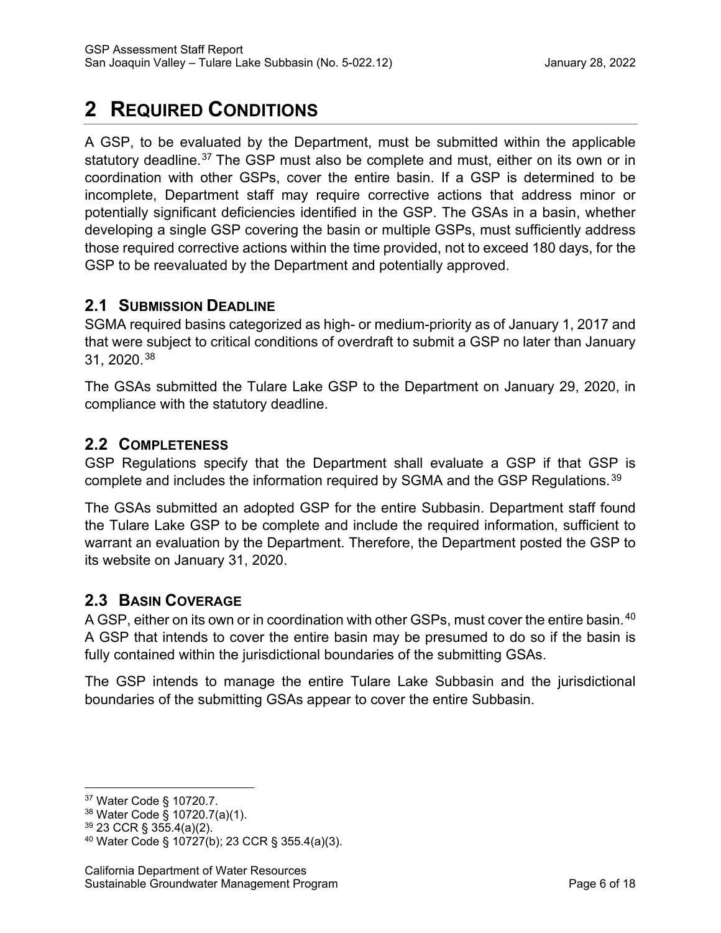# **2 REQUIRED CONDITIONS**

A GSP, to be evaluated by the Department, must be submitted within the applicable statutory deadline.<sup>[37](#page-10-0)</sup> The GSP must also be complete and must, either on its own or in coordination with other GSPs, cover the entire basin. If a GSP is determined to be incomplete, Department staff may require corrective actions that address minor or potentially significant deficiencies identified in the GSP. The GSAs in a basin, whether developing a single GSP covering the basin or multiple GSPs, must sufficiently address those required corrective actions within the time provided, not to exceed 180 days, for the GSP to be reevaluated by the Department and potentially approved.

# **2.1 SUBMISSION DEADLINE**

SGMA required basins categorized as high- or medium-priority as of January 1, 2017 and that were subject to critical conditions of overdraft to submit a GSP no later than January 31, 2020.[38](#page-10-1) 

The GSAs submitted the Tulare Lake GSP to the Department on January 29, 2020, in compliance with the statutory deadline.

## **2.2 COMPLETENESS**

GSP Regulations specify that the Department shall evaluate a GSP if that GSP is complete and includes the information required by SGMA and the GSP Regulations.<sup>[39](#page-10-2)</sup>

The GSAs submitted an adopted GSP for the entire Subbasin. Department staff found the Tulare Lake GSP to be complete and include the required information, sufficient to warrant an evaluation by the Department. Therefore, the Department posted the GSP to its website on January 31, 2020.

## **2.3 BASIN COVERAGE**

A GSP, either on its own or in coordination with other GSPs, must cover the entire basin.<sup>[40](#page-10-3)</sup> A GSP that intends to cover the entire basin may be presumed to do so if the basin is fully contained within the jurisdictional boundaries of the submitting GSAs.

The GSP intends to manage the entire Tulare Lake Subbasin and the jurisdictional boundaries of the submitting GSAs appear to cover the entire Subbasin.

<span id="page-10-0"></span><sup>37</sup> Water Code § 10720.7.

<span id="page-10-1"></span><sup>38</sup> Water Code § 10720.7(a)(1).

<span id="page-10-2"></span><sup>39</sup> 23 CCR § 355.4(a)(2).

<span id="page-10-3"></span><sup>40</sup> Water Code § 10727(b); 23 CCR § 355.4(a)(3).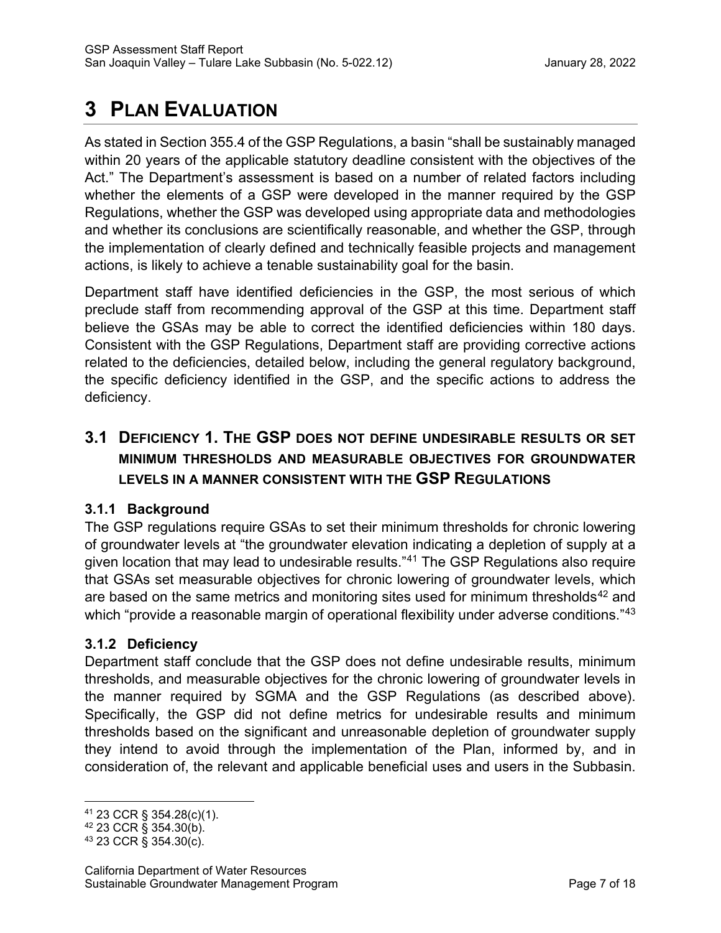# **3 PLAN EVALUATION**

As stated in Section 355.4 of the GSP Regulations, a basin "shall be sustainably managed within 20 years of the applicable statutory deadline consistent with the objectives of the Act." The Department's assessment is based on a number of related factors including whether the elements of a GSP were developed in the manner required by the GSP Regulations, whether the GSP was developed using appropriate data and methodologies and whether its conclusions are scientifically reasonable, and whether the GSP, through the implementation of clearly defined and technically feasible projects and management actions, is likely to achieve a tenable sustainability goal for the basin.

Department staff have identified deficiencies in the GSP, the most serious of which preclude staff from recommending approval of the GSP at this time. Department staff believe the GSAs may be able to correct the identified deficiencies within 180 days. Consistent with the GSP Regulations, Department staff are providing corrective actions related to the deficiencies, detailed below, including the general regulatory background, the specific deficiency identified in the GSP, and the specific actions to address the deficiency.

# **3.1 DEFICIENCY 1. THE GSP DOES NOT DEFINE UNDESIRABLE RESULTS OR SET MINIMUM THRESHOLDS AND MEASURABLE OBJECTIVES FOR GROUNDWATER LEVELS IN A MANNER CONSISTENT WITH THE GSP REGULATIONS**

## **3.1.1 Background**

The GSP regulations require GSAs to set their minimum thresholds for chronic lowering of groundwater levels at "the groundwater elevation indicating a depletion of supply at a given location that may lead to undesirable results."[41](#page-11-0) The GSP Regulations also require that GSAs set measurable objectives for chronic lowering of groundwater levels, which are based on the same metrics and monitoring sites used for minimum thresholds<sup>[42](#page-11-1)</sup> and which "provide a reasonable margin of operational flexibility under adverse conditions."<sup>[43](#page-11-2)</sup>

## **3.1.2 Deficiency**

Department staff conclude that the GSP does not define undesirable results, minimum thresholds, and measurable objectives for the chronic lowering of groundwater levels in the manner required by SGMA and the GSP Regulations (as described above). Specifically, the GSP did not define metrics for undesirable results and minimum thresholds based on the significant and unreasonable depletion of groundwater supply they intend to avoid through the implementation of the Plan, informed by, and in consideration of, the relevant and applicable beneficial uses and users in the Subbasin.

<span id="page-11-1"></span><span id="page-11-0"></span><sup>41 23</sup> CCR § 354.28(c)(1).<br><sup>42</sup> 23 CCR § 354.30(b).<br><sup>43</sup> 23 CCR § 354.30(c).

<span id="page-11-2"></span>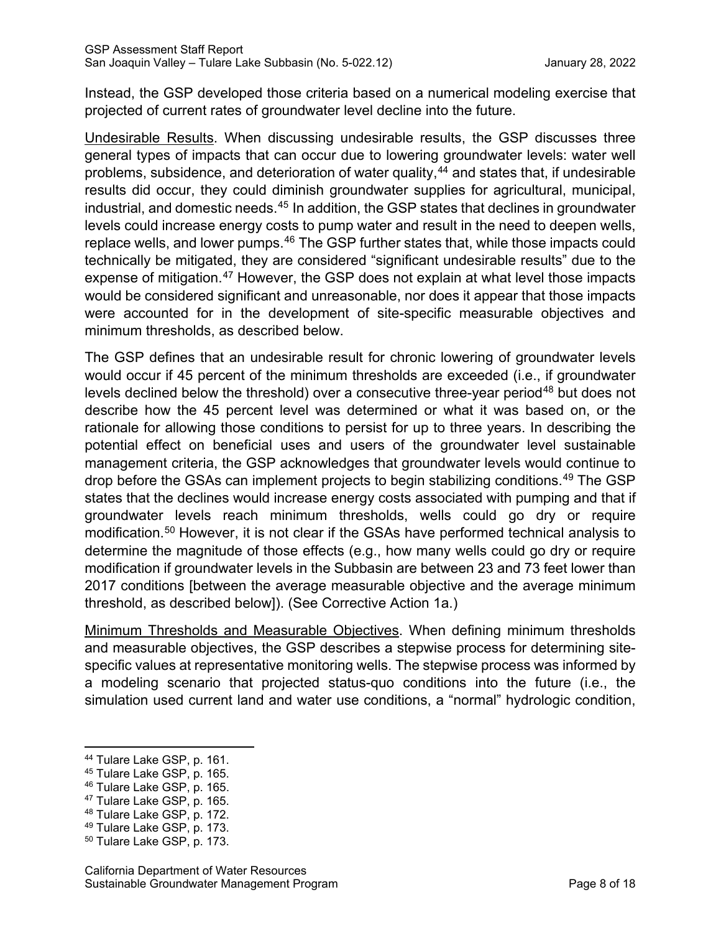Instead, the GSP developed those criteria based on a numerical modeling exercise that projected of current rates of groundwater level decline into the future.

Undesirable Results. When discussing undesirable results, the GSP discusses three general types of impacts that can occur due to lowering groundwater levels: water well problems, subsidence, and deterioration of water quality, [44](#page-12-0) and states that, if undesirable results did occur, they could diminish groundwater supplies for agricultural, municipal, industrial, and domestic needs.<sup>[45](#page-12-1)</sup> In addition, the GSP states that declines in groundwater levels could increase energy costs to pump water and result in the need to deepen wells, replace wells, and lower pumps.<sup>[46](#page-12-2)</sup> The GSP further states that, while those impacts could technically be mitigated, they are considered "significant undesirable results" due to the expense of mitigation.<sup>[47](#page-12-3)</sup> However, the GSP does not explain at what level those impacts would be considered significant and unreasonable, nor does it appear that those impacts were accounted for in the development of site-specific measurable objectives and minimum thresholds, as described below.

The GSP defines that an undesirable result for chronic lowering of groundwater levels would occur if 45 percent of the minimum thresholds are exceeded (i.e., if groundwater levels declined below the threshold) over a consecutive three-year period<sup>[48](#page-12-4)</sup> but does not describe how the 45 percent level was determined or what it was based on, or the rationale for allowing those conditions to persist for up to three years. In describing the potential effect on beneficial uses and users of the groundwater level sustainable management criteria, the GSP acknowledges that groundwater levels would continue to drop before the GSAs can implement projects to begin stabilizing conditions.<sup>[49](#page-12-5)</sup> The GSP states that the declines would increase energy costs associated with pumping and that if groundwater levels reach minimum thresholds, wells could go dry or require modification.[50](#page-12-6) However, it is not clear if the GSAs have performed technical analysis to determine the magnitude of those effects (e.g., how many wells could go dry or require modification if groundwater levels in the Subbasin are between 23 and 73 feet lower than 2017 conditions [between the average measurable objective and the average minimum threshold, as described below]). (See Corrective Action 1a.)

Minimum Thresholds and Measurable Objectives. When defining minimum thresholds and measurable objectives, the GSP describes a stepwise process for determining sitespecific values at representative monitoring wells. The stepwise process was informed by a modeling scenario that projected status-quo conditions into the future (i.e., the simulation used current land and water use conditions, a "normal" hydrologic condition,

<span id="page-12-1"></span><span id="page-12-0"></span><sup>&</sup>lt;sup>44</sup> Tulare Lake GSP, p. 161.<br><sup>45</sup> Tulare Lake GSP, p. 165.

<span id="page-12-2"></span><sup>46</sup> Tulare Lake GSP, p. 165.

<span id="page-12-3"></span><sup>47</sup> Tulare Lake GSP, p. 165.

<span id="page-12-4"></span><sup>&</sup>lt;sup>48</sup> Tulare Lake GSP, p. 172.<br><sup>49</sup> Tulare Lake GSP, p. 173.<br><sup>50</sup> Tulare Lake GSP, p. 173.

<span id="page-12-5"></span>

<span id="page-12-6"></span>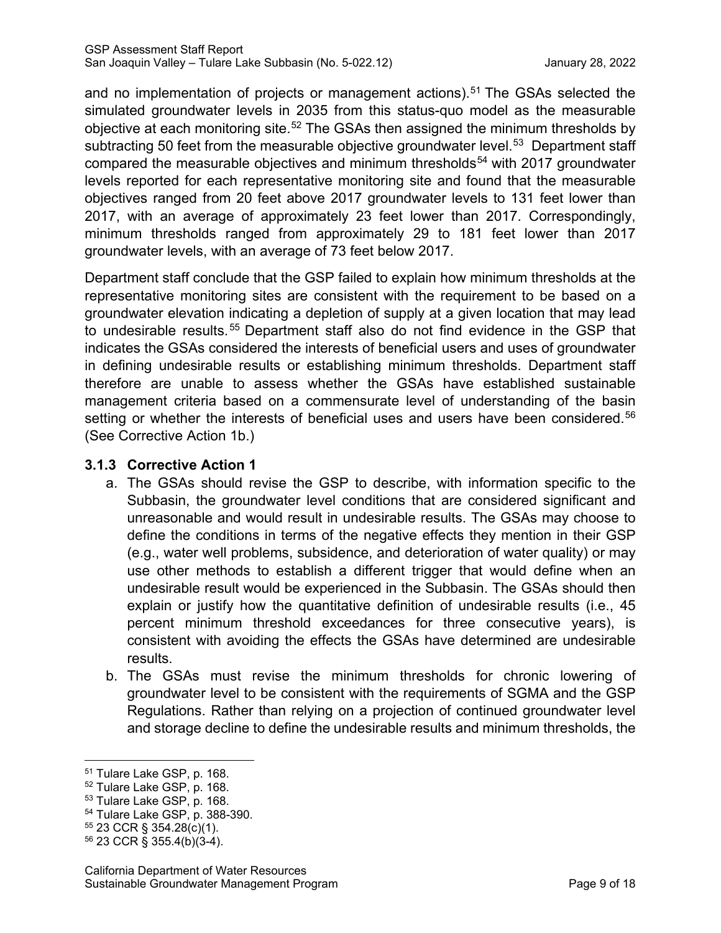and no implementation of projects or management actions).<sup>[51](#page-13-0)</sup> The GSAs selected the simulated groundwater levels in 2035 from this status-quo model as the measurable objective at each monitoring site.<sup>[52](#page-13-1)</sup> The GSAs then assigned the minimum thresholds by subtracting 50 feet from the measurable objective groundwater level.<sup>53</sup> Department staff compared the measurable objectives and minimum thresholds<sup>[54](#page-13-3)</sup> with 2017 groundwater levels reported for each representative monitoring site and found that the measurable objectives ranged from 20 feet above 2017 groundwater levels to 131 feet lower than 2017, with an average of approximately 23 feet lower than 2017. Correspondingly, minimum thresholds ranged from approximately 29 to 181 feet lower than 2017 groundwater levels, with an average of 73 feet below 2017.

Department staff conclude that the GSP failed to explain how minimum thresholds at the representative monitoring sites are consistent with the requirement to be based on a groundwater elevation indicating a depletion of supply at a given location that may lead to undesirable results.<sup>[55](#page-13-4)</sup> Department staff also do not find evidence in the GSP that indicates the GSAs considered the interests of beneficial users and uses of groundwater in defining undesirable results or establishing minimum thresholds. Department staff therefore are unable to assess whether the GSAs have established sustainable management criteria based on a commensurate level of understanding of the basin setting or whether the interests of beneficial uses and users have been considered.<sup>[56](#page-13-5)</sup> (See Corrective Action 1b.)

### **3.1.3 Corrective Action 1**

- a. The GSAs should revise the GSP to describe, with information specific to the Subbasin, the groundwater level conditions that are considered significant and unreasonable and would result in undesirable results. The GSAs may choose to define the conditions in terms of the negative effects they mention in their GSP (e.g., water well problems, subsidence, and deterioration of water quality) or may use other methods to establish a different trigger that would define when an undesirable result would be experienced in the Subbasin. The GSAs should then explain or justify how the quantitative definition of undesirable results (i.e., 45 percent minimum threshold exceedances for three consecutive years), is consistent with avoiding the effects the GSAs have determined are undesirable results.
- b. The GSAs must revise the minimum thresholds for chronic lowering of groundwater level to be consistent with the requirements of SGMA and the GSP Regulations. Rather than relying on a projection of continued groundwater level and storage decline to define the undesirable results and minimum thresholds, the

<span id="page-13-3"></span>

<span id="page-13-1"></span><span id="page-13-0"></span>

<span id="page-13-2"></span>

<sup>&</sup>lt;sup>51</sup> Tulare Lake GSP, p. 168.<br><sup>52</sup> Tulare Lake GSP, p. 168.<br><sup>53</sup> Tulare Lake GSP, p. 168.<br><sup>54</sup> Tulare Lake GSP, p. 388-390.<br><sup>55</sup> 23 CCR § 354.28(c)(1).

<span id="page-13-5"></span><span id="page-13-4"></span> $56$  23 CCR § 355.4(b)(3-4).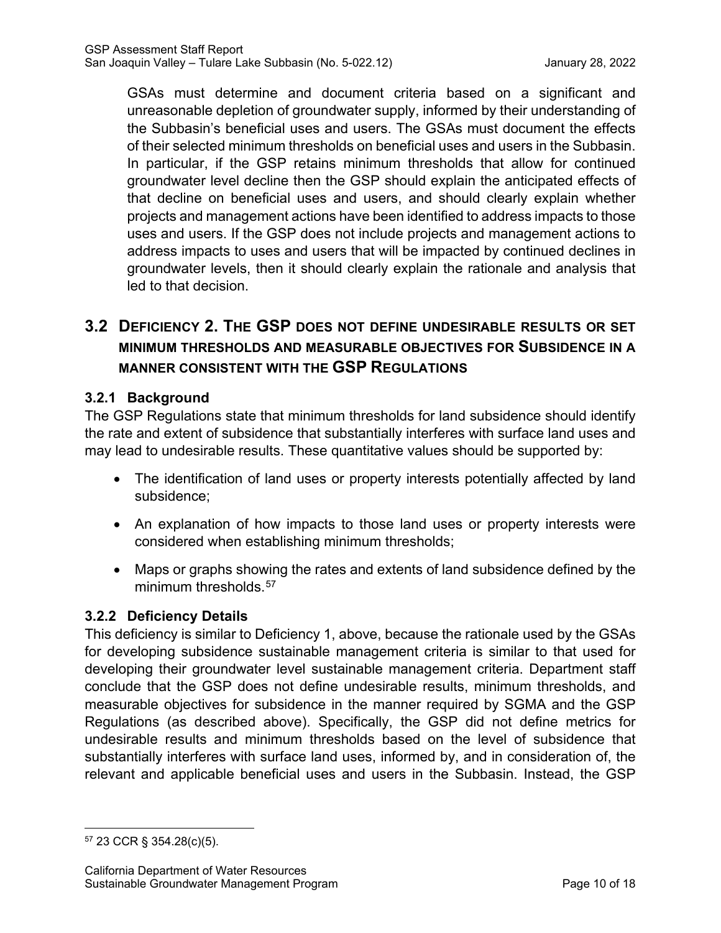GSAs must determine and document criteria based on a significant and unreasonable depletion of groundwater supply, informed by their understanding of the Subbasin's beneficial uses and users. The GSAs must document the effects of their selected minimum thresholds on beneficial uses and users in the Subbasin. In particular, if the GSP retains minimum thresholds that allow for continued groundwater level decline then the GSP should explain the anticipated effects of that decline on beneficial uses and users, and should clearly explain whether projects and management actions have been identified to address impacts to those uses and users. If the GSP does not include projects and management actions to address impacts to uses and users that will be impacted by continued declines in groundwater levels, then it should clearly explain the rationale and analysis that led to that decision.

# **3.2 DEFICIENCY 2. THE GSP DOES NOT DEFINE UNDESIRABLE RESULTS OR SET MINIMUM THRESHOLDS AND MEASURABLE OBJECTIVES FOR SUBSIDENCE IN A MANNER CONSISTENT WITH THE GSP REGULATIONS**

### **3.2.1 Background**

The GSP Regulations state that minimum thresholds for land subsidence should identify the rate and extent of subsidence that substantially interferes with surface land uses and may lead to undesirable results. These quantitative values should be supported by:

- The identification of land uses or property interests potentially affected by land subsidence;
- An explanation of how impacts to those land uses or property interests were considered when establishing minimum thresholds;
- Maps or graphs showing the rates and extents of land subsidence defined by the minimum thresholds.<sup>[57](#page-14-0)</sup>

### **3.2.2 Deficiency Details**

This deficiency is similar to Deficiency 1, above, because the rationale used by the GSAs for developing subsidence sustainable management criteria is similar to that used for developing their groundwater level sustainable management criteria. Department staff conclude that the GSP does not define undesirable results, minimum thresholds, and measurable objectives for subsidence in the manner required by SGMA and the GSP Regulations (as described above). Specifically, the GSP did not define metrics for undesirable results and minimum thresholds based on the level of subsidence that substantially interferes with surface land uses, informed by, and in consideration of, the relevant and applicable beneficial uses and users in the Subbasin. Instead, the GSP

<span id="page-14-0"></span><sup>57</sup> 23 CCR § 354.28(c)(5).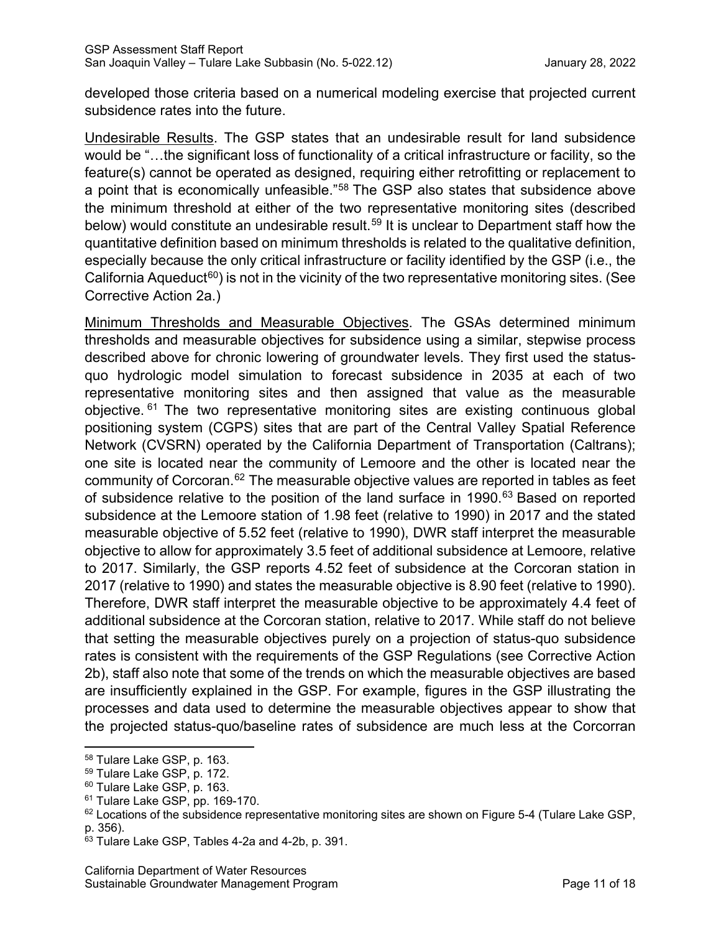developed those criteria based on a numerical modeling exercise that projected current subsidence rates into the future.

Undesirable Results. The GSP states that an undesirable result for land subsidence would be "…the significant loss of functionality of a critical infrastructure or facility, so the feature(s) cannot be operated as designed, requiring either retrofitting or replacement to a point that is economically unfeasible."[58](#page-15-0) The GSP also states that subsidence above the minimum threshold at either of the two representative monitoring sites (described below) would constitute an undesirable result.<sup>[59](#page-15-1)</sup> It is unclear to Department staff how the quantitative definition based on minimum thresholds is related to the qualitative definition, especially because the only critical infrastructure or facility identified by the GSP (i.e., the California Aqueduct<sup>[60](#page-15-2)</sup>) is not in the vicinity of the two representative monitoring sites. (See Corrective Action 2a.)

Minimum Thresholds and Measurable Objectives. The GSAs determined minimum thresholds and measurable objectives for subsidence using a similar, stepwise process described above for chronic lowering of groundwater levels. They first used the statusquo hydrologic model simulation to forecast subsidence in 2035 at each of two representative monitoring sites and then assigned that value as the measurable objective. <sup>[61](#page-15-3)</sup> The two representative monitoring sites are existing continuous global positioning system (CGPS) sites that are part of the Central Valley Spatial Reference Network (CVSRN) operated by the California Department of Transportation (Caltrans); one site is located near the community of Lemoore and the other is located near the community of Corcoran.<sup>[62](#page-15-4)</sup> The measurable objective values are reported in tables as feet of subsidence relative to the position of the land surface in 1990.<sup>[63](#page-15-5)</sup> Based on reported subsidence at the Lemoore station of 1.98 feet (relative to 1990) in 2017 and the stated measurable objective of 5.52 feet (relative to 1990), DWR staff interpret the measurable objective to allow for approximately 3.5 feet of additional subsidence at Lemoore, relative to 2017. Similarly, the GSP reports 4.52 feet of subsidence at the Corcoran station in 2017 (relative to 1990) and states the measurable objective is 8.90 feet (relative to 1990). Therefore, DWR staff interpret the measurable objective to be approximately 4.4 feet of additional subsidence at the Corcoran station, relative to 2017. While staff do not believe that setting the measurable objectives purely on a projection of status-quo subsidence rates is consistent with the requirements of the GSP Regulations (see Corrective Action 2b), staff also note that some of the trends on which the measurable objectives are based are insufficiently explained in the GSP. For example, figures in the GSP illustrating the processes and data used to determine the measurable objectives appear to show that the projected status-quo/baseline rates of subsidence are much less at the Corcorran

<span id="page-15-0"></span><sup>58</sup> Tulare Lake GSP, p. 163.

<span id="page-15-1"></span><sup>59</sup> Tulare Lake GSP, p. 172.

<span id="page-15-2"></span><sup>&</sup>lt;sup>60</sup> Tulare Lake GSP, p. 163.

<span id="page-15-3"></span><sup>&</sup>lt;sup>61</sup> Tulare Lake GSP, pp. 169-170.

<span id="page-15-4"></span> $62$  Locations of the subsidence representative monitoring sites are shown on Figure 5-4 (Tulare Lake GSP, p. 356).

<span id="page-15-5"></span><sup>63</sup> Tulare Lake GSP, Tables 4-2a and 4-2b, p. 391.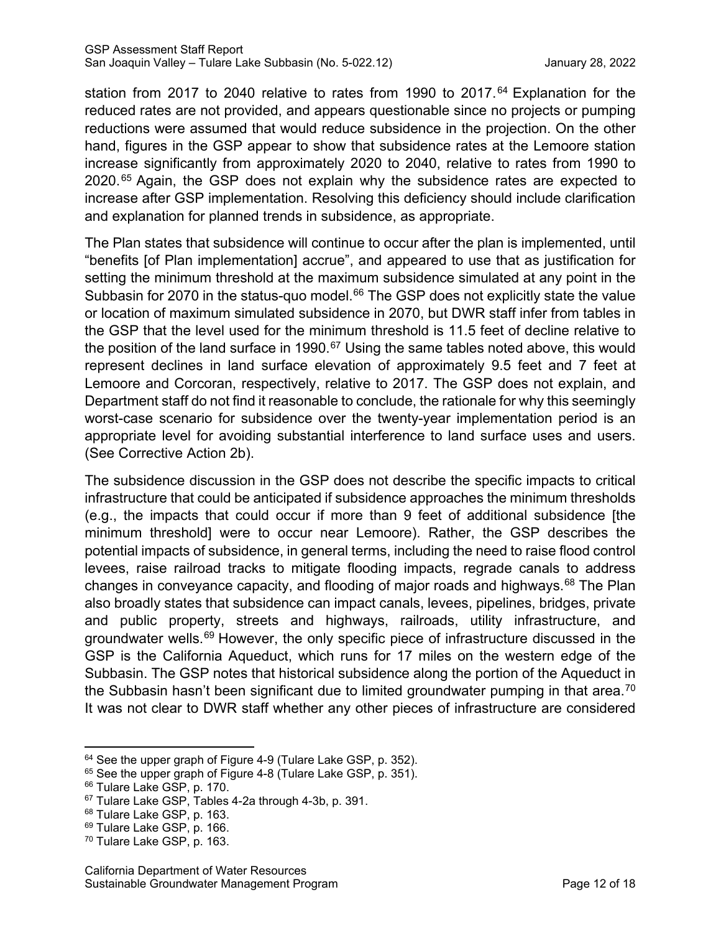station from 2017 to 2040 relative to rates from 1990 to 2017.<sup>[64](#page-16-0)</sup> Explanation for the reduced rates are not provided, and appears questionable since no projects or pumping reductions were assumed that would reduce subsidence in the projection. On the other hand, figures in the GSP appear to show that subsidence rates at the Lemoore station increase significantly from approximately 2020 to 2040, relative to rates from 1990 to 2020.<sup>[65](#page-16-1)</sup> Again, the GSP does not explain why the subsidence rates are expected to increase after GSP implementation. Resolving this deficiency should include clarification and explanation for planned trends in subsidence, as appropriate.

The Plan states that subsidence will continue to occur after the plan is implemented, until "benefits [of Plan implementation] accrue", and appeared to use that as justification for setting the minimum threshold at the maximum subsidence simulated at any point in the Subbasin for 2070 in the status-quo model. $66$  The GSP does not explicitly state the value or location of maximum simulated subsidence in 2070, but DWR staff infer from tables in the GSP that the level used for the minimum threshold is 11.5 feet of decline relative to the position of the land surface in 1990.<sup>[67](#page-16-3)</sup> Using the same tables noted above, this would represent declines in land surface elevation of approximately 9.5 feet and 7 feet at Lemoore and Corcoran, respectively, relative to 2017. The GSP does not explain, and Department staff do not find it reasonable to conclude, the rationale for why this seemingly worst-case scenario for subsidence over the twenty-year implementation period is an appropriate level for avoiding substantial interference to land surface uses and users. (See Corrective Action 2b).

The subsidence discussion in the GSP does not describe the specific impacts to critical infrastructure that could be anticipated if subsidence approaches the minimum thresholds (e.g., the impacts that could occur if more than 9 feet of additional subsidence [the minimum threshold] were to occur near Lemoore). Rather, the GSP describes the potential impacts of subsidence, in general terms, including the need to raise flood control levees, raise railroad tracks to mitigate flooding impacts, regrade canals to address changes in conveyance capacity, and flooding of major roads and highways.<sup>[68](#page-16-4)</sup> The Plan also broadly states that subsidence can impact canals, levees, pipelines, bridges, private and public property, streets and highways, railroads, utility infrastructure, and groundwater wells.<sup>[69](#page-16-5)</sup> However, the only specific piece of infrastructure discussed in the GSP is the California Aqueduct, which runs for 17 miles on the western edge of the Subbasin. The GSP notes that historical subsidence along the portion of the Aqueduct in the Subbasin hasn't been significant due to limited groundwater pumping in that area.<sup>[70](#page-16-6)</sup> It was not clear to DWR staff whether any other pieces of infrastructure are considered

<span id="page-16-0"></span><sup>&</sup>lt;sup>64</sup> See the upper graph of Figure 4-9 (Tulare Lake GSP, p. 352).

<span id="page-16-1"></span><sup>&</sup>lt;sup>65</sup> See the upper graph of Figure 4-8 (Tulare Lake GSP, p. 351).

<span id="page-16-2"></span><sup>&</sup>lt;sup>66</sup> Tulare Lake GSP, p. 170.

<span id="page-16-3"></span><sup>67</sup> Tulare Lake GSP, Tables 4-2a through 4-3b, p. 391.

<span id="page-16-4"></span><sup>&</sup>lt;sup>68</sup> Tulare Lake GSP, p. 163.

<span id="page-16-5"></span><sup>&</sup>lt;sup>69</sup> Tulare Lake GSP, p. 166.

<span id="page-16-6"></span><sup>70</sup> Tulare Lake GSP, p. 163.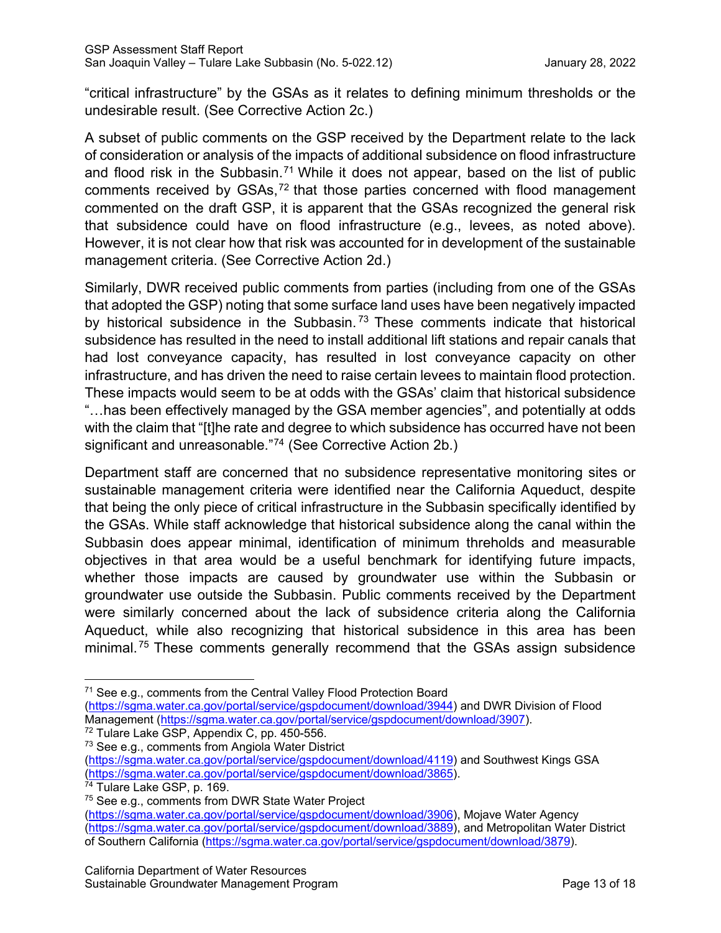"critical infrastructure" by the GSAs as it relates to defining minimum thresholds or the undesirable result. (See Corrective Action 2c.)

A subset of public comments on the GSP received by the Department relate to the lack of consideration or analysis of the impacts of additional subsidence on flood infrastructure and flood risk in the Subbasin.<sup>[71](#page-17-0)</sup> While it does not appear, based on the list of public comments received by  $GSAs$ ,<sup> $72$ </sup> that those parties concerned with flood management commented on the draft GSP, it is apparent that the GSAs recognized the general risk that subsidence could have on flood infrastructure (e.g., levees, as noted above). However, it is not clear how that risk was accounted for in development of the sustainable management criteria. (See Corrective Action 2d.)

Similarly, DWR received public comments from parties (including from one of the GSAs that adopted the GSP) noting that some surface land uses have been negatively impacted by historical subsidence in the Subbasin.<sup>[73](#page-17-2)</sup> These comments indicate that historical subsidence has resulted in the need to install additional lift stations and repair canals that had lost conveyance capacity, has resulted in lost conveyance capacity on other infrastructure, and has driven the need to raise certain levees to maintain flood protection. These impacts would seem to be at odds with the GSAs' claim that historical subsidence "…has been effectively managed by the GSA member agencies", and potentially at odds with the claim that "[t]he rate and degree to which subsidence has occurred have not been significant and unreasonable."<sup>[74](#page-17-3)</sup> (See Corrective Action 2b.)

Department staff are concerned that no subsidence representative monitoring sites or sustainable management criteria were identified near the California Aqueduct, despite that being the only piece of critical infrastructure in the Subbasin specifically identified by the GSAs. While staff acknowledge that historical subsidence along the canal within the Subbasin does appear minimal, identification of minimum threholds and measurable objectives in that area would be a useful benchmark for identifying future impacts, whether those impacts are caused by groundwater use within the Subbasin or groundwater use outside the Subbasin. Public comments received by the Department were similarly concerned about the lack of subsidence criteria along the California Aqueduct, while also recognizing that historical subsidence in this area has been minimal. [75](#page-17-4) These comments generally recommend that the GSAs assign subsidence

<span id="page-17-1"></span><sup>72</sup> Tulare Lake GSP, Appendix C, pp. 450-556.

<span id="page-17-0"></span><sup>&</sup>lt;sup>71</sup> See e.g., comments from the Central Valley Flood Protection Board

[<sup>\(</sup>https://sgma.water.ca.gov/portal/service/gspdocument/download/3944\)](https://sgma.water.ca.gov/portal/service/gspdocument/download/3944) and DWR Division of Flood Management [\(https://sgma.water.ca.gov/portal/service/gspdocument/download/3907\)](https://sgma.water.ca.gov/portal/service/gspdocument/download/3907).

<span id="page-17-2"></span><sup>&</sup>lt;sup>73</sup> See e.g., comments from Angiola Water District [\(https://sgma.water.ca.gov/portal/service/gspdocument/download/4119\)](https://sgma.water.ca.gov/portal/service/gspdocument/download/4119) and Southwest Kings GSA [\(https://sgma.water.ca.gov/portal/service/gspdocument/download/3865\)](https://sgma.water.ca.gov/portal/service/gspdocument/download/3865).

<span id="page-17-3"></span><sup>&</sup>lt;sup>74</sup> Tulare Lake GSP, p. 169.

<span id="page-17-4"></span><sup>&</sup>lt;sup>75</sup> See e.g., comments from DWR State Water Project

[<sup>\(</sup>https://sgma.water.ca.gov/portal/service/gspdocument/download/3906\)](https://sgma.water.ca.gov/portal/service/gspdocument/download/3906), Mojave Water Agency [\(https://sgma.water.ca.gov/portal/service/gspdocument/download/3889\)](https://sgma.water.ca.gov/portal/service/gspdocument/download/3889), and Metropolitan Water District of Southern California [\(https://sgma.water.ca.gov/portal/service/gspdocument/download/3879\)](https://sgma.water.ca.gov/portal/service/gspdocument/download/3879).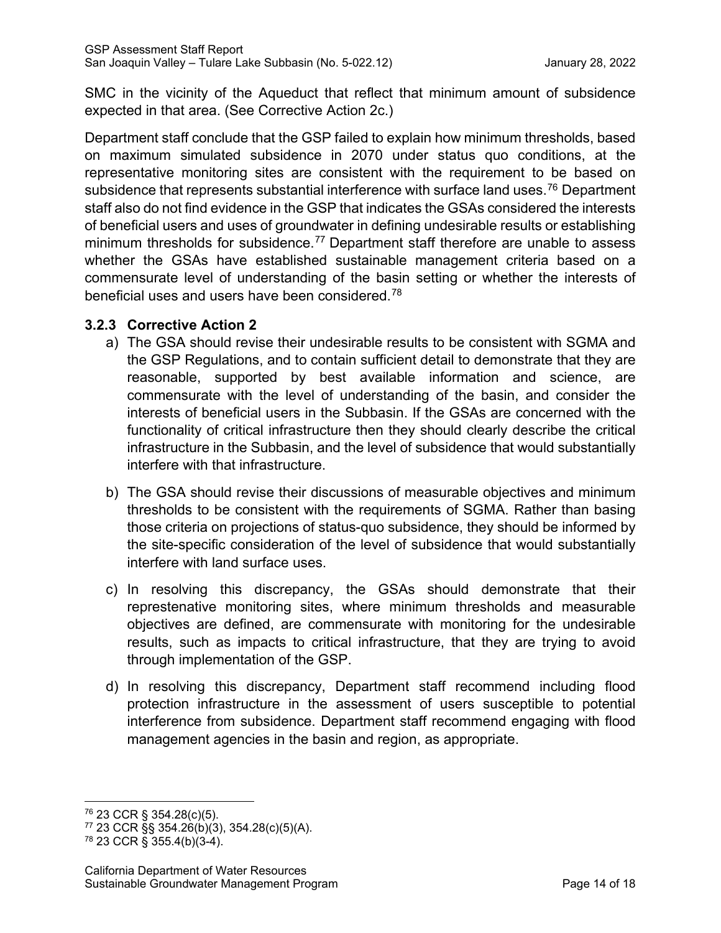SMC in the vicinity of the Aqueduct that reflect that minimum amount of subsidence expected in that area. (See Corrective Action 2c.)

Department staff conclude that the GSP failed to explain how minimum thresholds, based on maximum simulated subsidence in 2070 under status quo conditions, at the representative monitoring sites are consistent with the requirement to be based on subsidence that represents substantial interference with surface land uses. [76](#page-18-0) Department staff also do not find evidence in the GSP that indicates the GSAs considered the interests of beneficial users and uses of groundwater in defining undesirable results or establishing minimum thresholds for subsidence.<sup>[77](#page-18-1)</sup> Department staff therefore are unable to assess whether the GSAs have established sustainable management criteria based on a commensurate level of understanding of the basin setting or whether the interests of beneficial uses and users have been considered.[78](#page-18-2)

### **3.2.3 Corrective Action 2**

- a) The GSA should revise their undesirable results to be consistent with SGMA and the GSP Regulations, and to contain sufficient detail to demonstrate that they are reasonable, supported by best available information and science, are commensurate with the level of understanding of the basin, and consider the interests of beneficial users in the Subbasin. If the GSAs are concerned with the functionality of critical infrastructure then they should clearly describe the critical infrastructure in the Subbasin, and the level of subsidence that would substantially interfere with that infrastructure.
- b) The GSA should revise their discussions of measurable objectives and minimum thresholds to be consistent with the requirements of SGMA. Rather than basing those criteria on projections of status-quo subsidence, they should be informed by the site-specific consideration of the level of subsidence that would substantially interfere with land surface uses.
- c) In resolving this discrepancy, the GSAs should demonstrate that their represtenative monitoring sites, where minimum thresholds and measurable objectives are defined, are commensurate with monitoring for the undesirable results, such as impacts to critical infrastructure, that they are trying to avoid through implementation of the GSP.
- d) In resolving this discrepancy, Department staff recommend including flood protection infrastructure in the assessment of users susceptible to potential interference from subsidence. Department staff recommend engaging with flood management agencies in the basin and region, as appropriate.

<span id="page-18-0"></span><sup>76</sup> 23 CCR § 354.28(c)(5).

<span id="page-18-1"></span> $77$  23 CCR §§ 354.26(b)(3), 354.28(c)(5)(A).

<span id="page-18-2"></span><sup>78</sup> 23 CCR § 355.4(b)(3-4).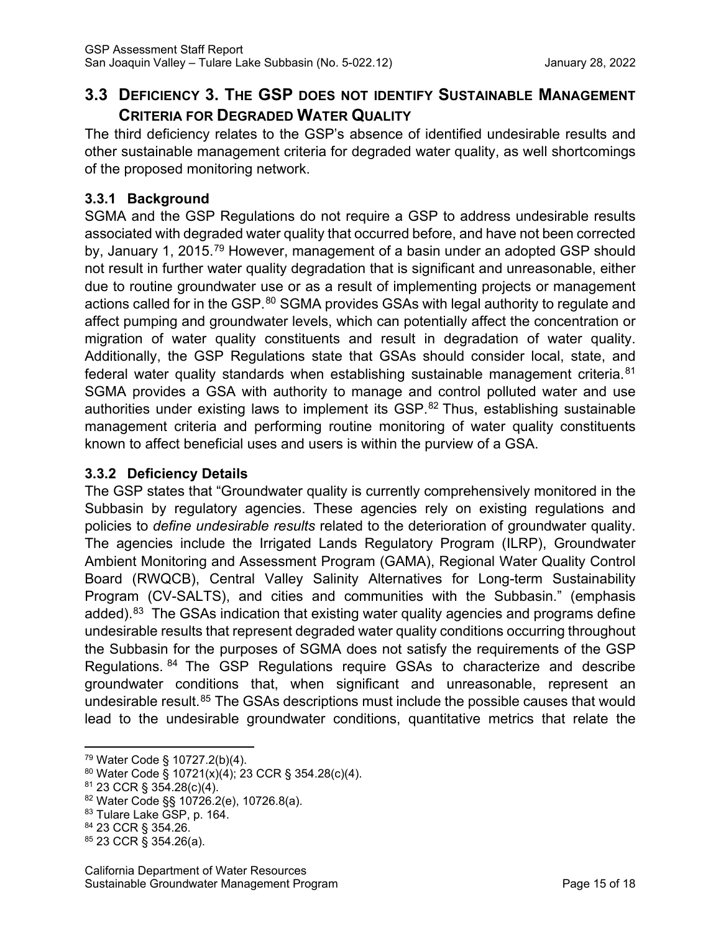# **3.3 DEFICIENCY 3. THE GSP DOES NOT IDENTIFY SUSTAINABLE MANAGEMENT CRITERIA FOR DEGRADED WATER QUALITY**

The third deficiency relates to the GSP's absence of identified undesirable results and other sustainable management criteria for degraded water quality, as well shortcomings of the proposed monitoring network.

### **3.3.1 Background**

SGMA and the GSP Regulations do not require a GSP to address undesirable results associated with degraded water quality that occurred before, and have not been corrected by, January 1, 2015.<sup>[79](#page-19-0)</sup> However, management of a basin under an adopted GSP should not result in further water quality degradation that is significant and unreasonable, either due to routine groundwater use or as a result of implementing projects or management actions called for in the GSP.<sup>[80](#page-19-1)</sup> SGMA provides GSAs with legal authority to regulate and affect pumping and groundwater levels, which can potentially affect the concentration or migration of water quality constituents and result in degradation of water quality. Additionally, the GSP Regulations state that GSAs should consider local, state, and federal water quality standards when establishing sustainable management criteria.<sup>[81](#page-19-2)</sup> SGMA provides a GSA with authority to manage and control polluted water and use authorities under existing laws to implement its GSP.<sup>[82](#page-19-3)</sup> Thus, establishing sustainable management criteria and performing routine monitoring of water quality constituents known to affect beneficial uses and users is within the purview of a GSA.

### **3.3.2 Deficiency Details**

The GSP states that "Groundwater quality is currently comprehensively monitored in the Subbasin by regulatory agencies. These agencies rely on existing regulations and policies to *define undesirable results* related to the deterioration of groundwater quality. The agencies include the Irrigated Lands Regulatory Program (ILRP), Groundwater Ambient Monitoring and Assessment Program (GAMA), Regional Water Quality Control Board (RWQCB), Central Valley Salinity Alternatives for Long-term Sustainability Program (CV-SALTS), and cities and communities with the Subbasin." (emphasis added). $83$  The GSAs indication that existing water quality agencies and programs define undesirable results that represent degraded water quality conditions occurring throughout the Subbasin for the purposes of SGMA does not satisfy the requirements of the GSP Regulations. [84](#page-19-5) The GSP Regulations require GSAs to characterize and describe groundwater conditions that, when significant and unreasonable, represent an undesirable result.<sup>[85](#page-19-6)</sup> The GSAs descriptions must include the possible causes that would lead to the undesirable groundwater conditions, quantitative metrics that relate the

<span id="page-19-0"></span><sup>79</sup> Water Code § 10727.2(b)(4).

<span id="page-19-1"></span><sup>80</sup> Water Code § 10721(x)(4); 23 CCR § 354.28(c)(4).

<span id="page-19-2"></span><sup>81</sup> 23 CCR § 354.28(c)(4).

<span id="page-19-3"></span><sup>82</sup> Water Code §§ 10726.2(e), 10726.8(a).

<span id="page-19-4"></span><sup>&</sup>lt;sup>83</sup> Tulare Lake GSP, p. 164.<br><sup>84</sup> 23 CCR § 354.26.

<span id="page-19-6"></span><span id="page-19-5"></span> $85$  23 CCR § 354.26(a).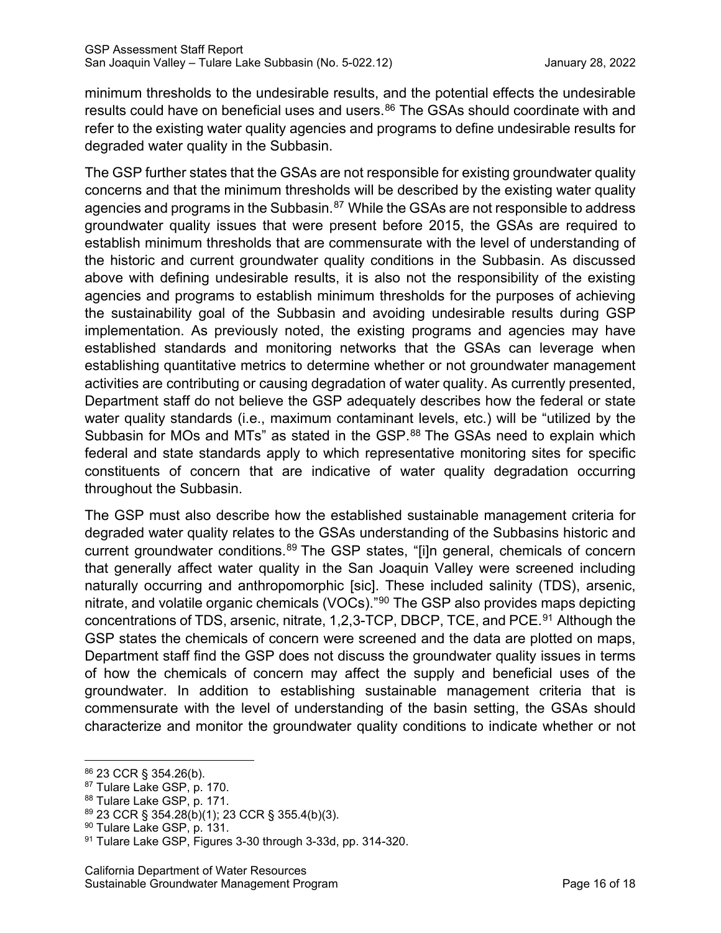minimum thresholds to the undesirable results, and the potential effects the undesirable results could have on beneficial uses and users.<sup>[86](#page-20-0)</sup> The GSAs should coordinate with and refer to the existing water quality agencies and programs to define undesirable results for degraded water quality in the Subbasin.

The GSP further states that the GSAs are not responsible for existing groundwater quality concerns and that the minimum thresholds will be described by the existing water quality agencies and programs in the Subbasin.<sup>[87](#page-20-1)</sup> While the GSAs are not responsible to address groundwater quality issues that were present before 2015, the GSAs are required to establish minimum thresholds that are commensurate with the level of understanding of the historic and current groundwater quality conditions in the Subbasin. As discussed above with defining undesirable results, it is also not the responsibility of the existing agencies and programs to establish minimum thresholds for the purposes of achieving the sustainability goal of the Subbasin and avoiding undesirable results during GSP implementation. As previously noted, the existing programs and agencies may have established standards and monitoring networks that the GSAs can leverage when establishing quantitative metrics to determine whether or not groundwater management activities are contributing or causing degradation of water quality. As currently presented, Department staff do not believe the GSP adequately describes how the federal or state water quality standards (i.e., maximum contaminant levels, etc.) will be "utilized by the Subbasin for MOs and MTs" as stated in the GSP.<sup>[88](#page-20-2)</sup> The GSAs need to explain which federal and state standards apply to which representative monitoring sites for specific constituents of concern that are indicative of water quality degradation occurring throughout the Subbasin.

The GSP must also describe how the established sustainable management criteria for degraded water quality relates to the GSAs understanding of the Subbasins historic and current groundwater conditions.<sup>[89](#page-20-3)</sup> The GSP states, "[i]n general, chemicals of concern that generally affect water quality in the San Joaquin Valley were screened including naturally occurring and anthropomorphic [sic]. These included salinity (TDS), arsenic, nitrate, and volatile organic chemicals (VOCs)."<sup>[90](#page-20-4)</sup> The GSP also provides maps depicting concentrations of TDS, arsenic, nitrate, 1,2,3-TCP, DBCP, TCE, and PCE.<sup>[91](#page-20-5)</sup> Although the GSP states the chemicals of concern were screened and the data are plotted on maps, Department staff find the GSP does not discuss the groundwater quality issues in terms of how the chemicals of concern may affect the supply and beneficial uses of the groundwater. In addition to establishing sustainable management criteria that is commensurate with the level of understanding of the basin setting, the GSAs should characterize and monitor the groundwater quality conditions to indicate whether or not

<span id="page-20-1"></span>

<span id="page-20-2"></span>

<span id="page-20-3"></span>

<span id="page-20-5"></span><span id="page-20-4"></span>

<span id="page-20-0"></span><sup>&</sup>lt;sup>86</sup> 23 CCR § 354.26(b).<br><sup>87</sup> Tulare Lake GSP, p. 170.<br><sup>88</sup> Tulare Lake GSP, p. 171.<br><sup>89</sup> 23 CCR § 354.28(b)(1); 23 CCR § 355.4(b)(3).<br><sup>90</sup> Tulare Lake GSP, p. 131.<br><sup>91</sup> Tulare Lake GSP, Figures 3-30 through 3-33d, pp. 31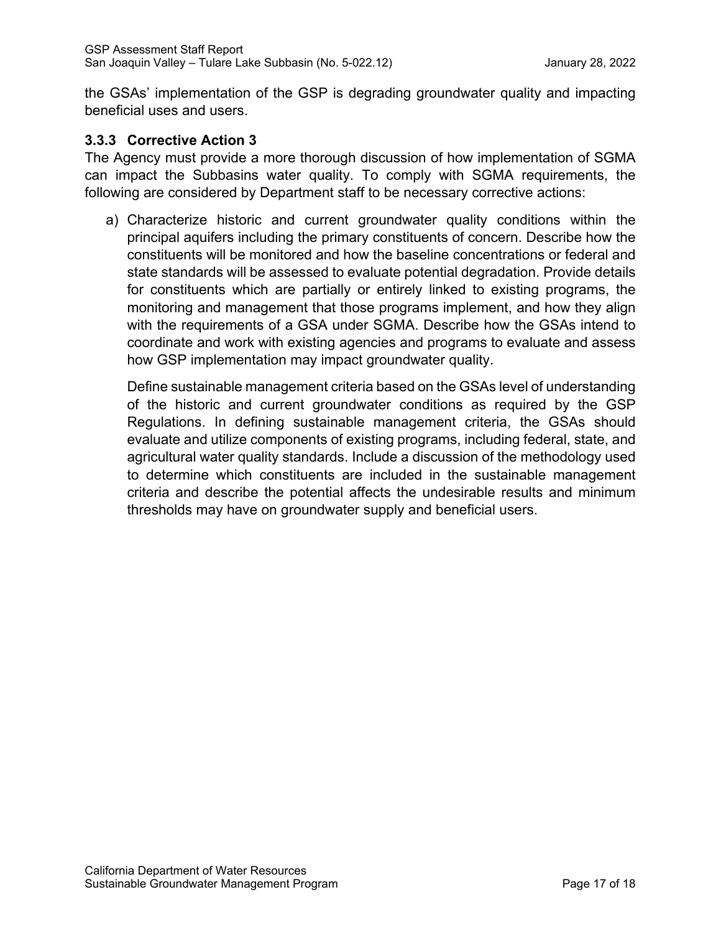the GSAs' implementation of the GSP is degrading groundwater quality and impacting beneficial uses and users.

#### **3.3.3 Corrective Action 3**

The Agency must provide a more thorough discussion of how implementation of SGMA can impact the Subbasins water quality. To comply with SGMA requirements, the following are considered by Department staff to be necessary corrective actions:

a) Characterize historic and current groundwater quality conditions within the principal aquifers including the primary constituents of concern. Describe how the constituents will be monitored and how the baseline concentrations or federal and state standards will be assessed to evaluate potential degradation. Provide details for constituents which are partially or entirely linked to existing programs, the monitoring and management that those programs implement, and how they align with the requirements of a GSA under SGMA. Describe how the GSAs intend to coordinate and work with existing agencies and programs to evaluate and assess how GSP implementation may impact groundwater quality.

Define sustainable management criteria based on the GSAs level of understanding of the historic and current groundwater conditions as required by the GSP Regulations. In defining sustainable management criteria, the GSAs should evaluate and utilize components of existing programs, including federal, state, and agricultural water quality standards. Include a discussion of the methodology used to determine which constituents are included in the sustainable management criteria and describe the potential affects the undesirable results and minimum thresholds may have on groundwater supply and beneficial users.